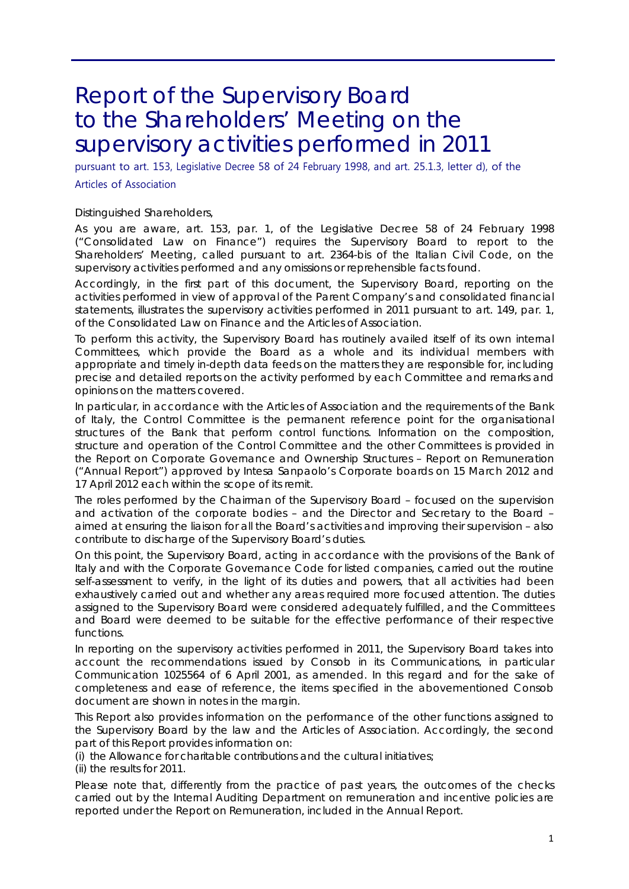# Report of the Supervisory Board to the Shareholders' Meeting on the supervisory activities performed in 2011

pursuant to art. 153, Legislative Decree 58 of 24 February 1998, and art. 25.1.3, letter d), of the Articles of Association

Distinguished Shareholders,

As you are aware, art. 153, par. 1, of the Legislative Decree 58 of 24 February 1998 ("Consolidated Law on Finance") requires the Supervisory Board to report to the Shareholders' Meeting, called pursuant to art. 2364-*bis* of the Italian Civil Code, on the supervisory activities performed and any omissions or reprehensible facts found.

Accordingly, in the first part of this document, the Supervisory Board, reporting on the activities performed in view of approval of the Parent Company's and consolidated financial statements, illustrates the supervisory activities performed in 2011 pursuant to art. 149, par. 1, of the Consolidated Law on Finance and the Articles of Association.

To perform this activity, the Supervisory Board has routinely availed itself of its own internal Committees, which provide the Board as a whole and its individual members with appropriate and timely in-depth data feeds on the matters they are responsible for, including precise and detailed reports on the activity performed by each Committee and remarks and opinions on the matters covered.

In particular, in accordance with the Articles of Association and the requirements of the Bank of Italy, the Control Committee is the permanent reference point for the organisational structures of the Bank that perform control functions. Information on the composition, structure and operation of the Control Committee and the other Committees is provided in the Report on Corporate Governance and Ownership Structures – Report on Remuneration ("Annual Report") approved by Intesa Sanpaolo's Corporate boards on 15 March 2012 and 17 April 2012 each within the scope of its remit.

The roles performed by the Chairman of the Supervisory Board – focused on the supervision and activation of the corporate bodies – and the Director and Secretary to the Board – aimed at ensuring the liaison for all the Board's activities and improving their supervision – also contribute to discharge of the Supervisory Board's duties.

On this point, the Supervisory Board, acting in accordance with the provisions of the Bank of Italy and with the Corporate Governance Code for listed companies, carried out the routine self-assessment to verify, in the light of its duties and powers, that all activities had been exhaustively carried out and whether any areas required more focused attention. The duties assigned to the Supervisory Board were considered adequately fulfilled, and the Committees and Board were deemed to be suitable for the effective performance of their respective functions.

In reporting on the supervisory activities performed in 2011, the Supervisory Board takes into account the recommendations issued by Consob in its Communications, in particular Communication 1025564 of 6 April 2001, as amended. In this regard and for the sake of completeness and ease of reference, the items specified in the abovementioned Consob document are shown in notes in the margin.

This Report also provides information on the performance of the other functions assigned to the Supervisory Board by the law and the Articles of Association. Accordingly, the second part of this Report provides information on:

(i) the Allowance for charitable contributions and the cultural initiatives;

(ii) the results for 2011.

Please note that, differently from the practice of past years, the outcomes of the checks carried out by the Internal Auditing Department on remuneration and incentive policies are reported under the Report on Remuneration, included in the Annual Report.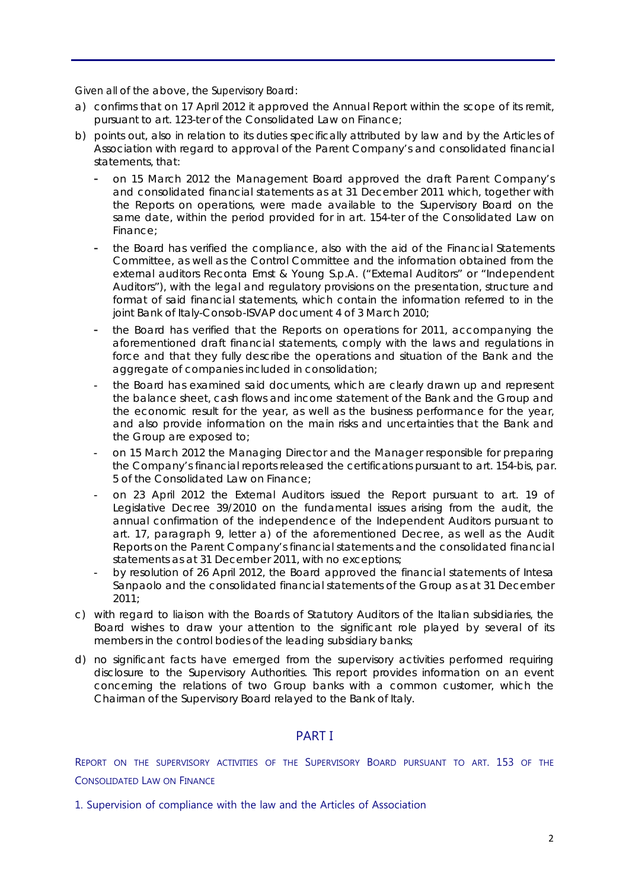Given all of the above, the Supervisory Board:

- a) confirms that on 17 April 2012 it approved the Annual Report within the scope of its remit, pursuant to art. 123-ter of the Consolidated Law on Finance;
- b) points out, also in relation to its duties specifically attributed by law and by the Articles of Association with regard to approval of the Parent Company's and consolidated financial statements, that:
	- on 15 March 2012 the Management Board approved the draft Parent Company's and consolidated financial statements as at 31 December 2011 which, together with the Reports on operations, were made available to the Supervisory Board on the same date, within the period provided for in art. 154-ter of the Consolidated Law on Finance;
	- the Board has verified the compliance, also with the aid of the Financial Statements Committee, as well as the Control Committee and the information obtained from the external auditors Reconta Ernst & Young S.p.A. ("External Auditors" or "Independent Auditors"), with the legal and regulatory provisions on the presentation, structure and format of said financial statements, which contain the information referred to in the joint Bank of Italy-Consob-ISVAP document 4 of 3 March 2010;
	- the Board has verified that the Reports on operations for 2011, accompanying the aforementioned draft financial statements, comply with the laws and regulations in force and that they fully describe the operations and situation of the Bank and the aggregate of companies included in consolidation;
	- the Board has examined said documents, which are clearly drawn up and represent the balance sheet, cash flows and income statement of the Bank and the Group and the economic result for the year, as well as the business performance for the year, and also provide information on the main risks and uncertainties that the Bank and the Group are exposed to;
	- on 15 March 2012 the Managing Director and the Manager responsible for preparing the Company's financial reports released the certifications pursuant to art. 154-*bis*, par. 5 of the Consolidated Law on Finance;
	- on 23 April 2012 the External Auditors issued the Report pursuant to art. 19 of Legislative Decree 39/2010 on the fundamental issues arising from the audit, the annual confirmation of the independence of the Independent Auditors pursuant to art. 17, paragraph 9, letter a) of the aforementioned Decree, as well as the Audit Reports on the Parent Company's financial statements and the consolidated financial statements as at 31 December 2011, with no exceptions;
	- by resolution of 26 April 2012, the Board approved the financial statements of Intesa Sanpaolo and the consolidated financial statements of the Group as at 31 December  $2011$
- c) with regard to liaison with the Boards of Statutory Auditors of the Italian subsidiaries, the Board wishes to draw your attention to the significant role played by several of its members in the control bodies of the leading subsidiary banks;
- d) no significant facts have emerged from the supervisory activities performed requiring disclosure to the Supervisory Authorities. This report provides information on an event concerning the relations of two Group banks with a common customer, which the Chairman of the Supervisory Board relayed to the Bank of Italy.

# PART I

REPORT ON THE SUPERVISORY ACTIVITIES OF THE SUPERVISORY BOARD PURSUANT TO ART. 153 OF THE CONSOLIDATED LAW ON FINANCE

1. Supervision of compliance with the law and the Articles of Association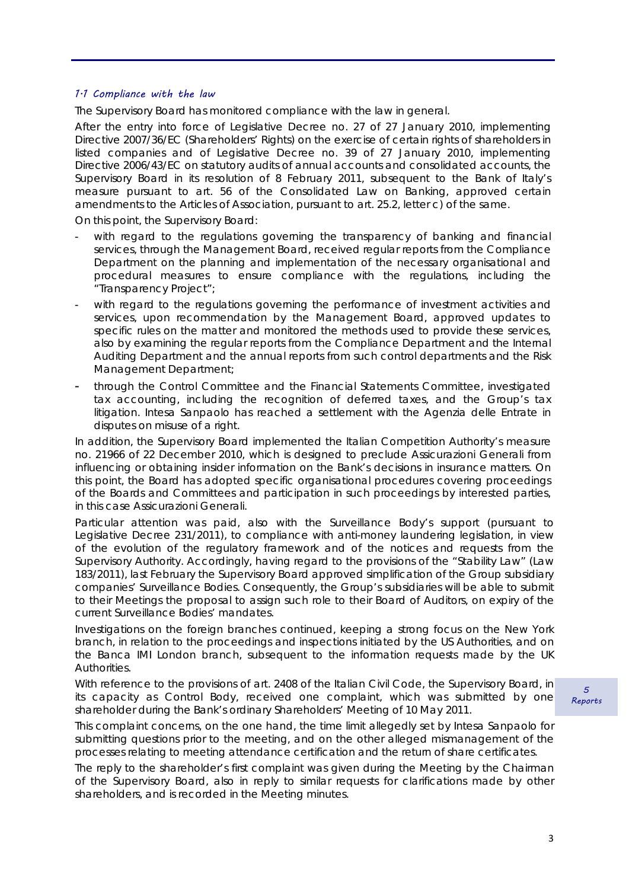#### 1.1 Compliance with the law

The Supervisory Board has monitored compliance with the law in general.

After the entry into force of Legislative Decree no. 27 of 27 January 2010, implementing Directive 2007/36/EC (Shareholders' Rights) on the exercise of certain rights of shareholders in listed companies and of Legislative Decree no. 39 of 27 January 2010, implementing Directive 2006/43/EC on statutory audits of annual accounts and consolidated accounts, the Supervisory Board in its resolution of 8 February 2011, subsequent to the Bank of Italy's measure pursuant to art. 56 of the Consolidated Law on Banking, approved certain amendments to the Articles of Association, pursuant to art. 25.2, letter c) of the same.

On this point, the Supervisory Board:

- with regard to the regulations governing the transparency of banking and financial services, through the Management Board, received regular reports from the Compliance Department on the planning and implementation of the necessary organisational and procedural measures to ensure compliance with the regulations, including the "Transparency Project";
- with regard to the regulations governing the performance of investment activities and services, upon recommendation by the Management Board, approved updates to specific rules on the matter and monitored the methods used to provide these services, also by examining the regular reports from the Compliance Department and the Internal Auditing Department and the annual reports from such control departments and the Risk Management Department;
- through the Control Committee and the Financial Statements Committee, investigated tax accounting, including the recognition of deferred taxes, and the Group's tax litigation. Intesa Sanpaolo has reached a settlement with the Agenzia delle Entrate in disputes on misuse of a right.

In addition, the Supervisory Board implemented the Italian Competition Authority's measure no. 21966 of 22 December 2010, which is designed to preclude Assicurazioni Generali from influencing or obtaining insider information on the Bank's decisions in insurance matters. On this point, the Board has adopted specific organisational procedures covering proceedings of the Boards and Committees and participation in such proceedings by interested parties, in this case Assicurazioni Generali.

Particular attention was paid, also with the Surveillance Body's support (pursuant to Legislative Decree 231/2011), to compliance with anti-money laundering legislation, in view of the evolution of the regulatory framework and of the notices and requests from the Supervisory Authority. Accordingly, having regard to the provisions of the "Stability Law" (Law 183/2011), last February the Supervisory Board approved simplification of the Group subsidiary companies' Surveillance Bodies. Consequently, the Group's subsidiaries will be able to submit to their Meetings the proposal to assign such role to their Board of Auditors, on expiry of the current Surveillance Bodies' mandates.

Investigations on the foreign branches continued, keeping a strong focus on the New York branch, in relation to the proceedings and inspections initiated by the US Authorities, and on the Banca IMI London branch, subsequent to the information requests made by the UK Authorities.

With reference to the provisions of art. 2408 of the Italian Civil Code, the Supervisory Board, in its capacity as Control Body, received one complaint, which was submitted by one shareholder during the Bank's ordinary Shareholders' Meeting of 10 May 2011.

This complaint concerns, on the one hand, the time limit allegedly set by Intesa Sanpaolo for submitting questions prior to the meeting, and on the other alleged mismanagement of the processes relating to meeting attendance certification and the return of share certificates.

The reply to the shareholder's first complaint was given during the Meeting by the Chairman of the Supervisory Board, also in reply to similar requests for clarifications made by other shareholders, and is recorded in the Meeting minutes.

 $\sqrt{2}$ Reports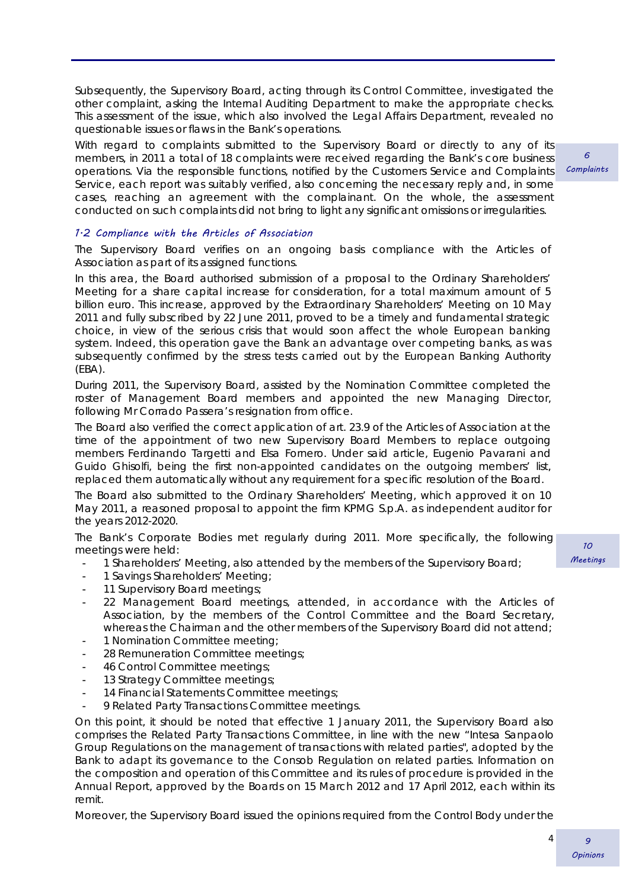Subsequently, the Supervisory Board, acting through its Control Committee, investigated the other complaint, asking the Internal Auditing Department to make the appropriate checks. This assessment of the issue, which also involved the Legal Affairs Department, revealed no questionable issues or flaws in the Bank's operations.

With regard to complaints submitted to the Supervisory Board or directly to any of its members, in 2011 a total of 18 complaints were received regarding the Bank's core business operations. Via the responsible functions, notified by the Customers Service and Complaints Service, each report was suitably verified, also concerning the necessary reply and, in some cases, reaching an agreement with the complainant. On the whole, the assessment conducted on such complaints did not bring to light any significant omissions or irregularities.

1.2 Compliance with the Articles of Association

The Supervisory Board verifies on an ongoing basis compliance with the Articles of Association as part of its assigned functions.

In this area, the Board authorised submission of a proposal to the Ordinary Shareholders' Meeting for a share capital increase for consideration, for a total maximum amount of 5 billion euro. This increase, approved by the Extraordinary Shareholders' Meeting on 10 May 2011 and fully subscribed by 22 June 2011, proved to be a timely and fundamental strategic choice, in view of the serious crisis that would soon affect the whole European banking system. Indeed, this operation gave the Bank an advantage over competing banks, as was subsequently confirmed by the stress tests carried out by the European Banking Authority (EBA).

During 2011, the Supervisory Board, assisted by the Nomination Committee completed the roster of Management Board members and appointed the new Managing Director, following Mr Corrado Passera's resignation from office.

The Board also verified the correct application of art. 23.9 of the Articles of Association at the time of the appointment of two new Supervisory Board Members to replace outgoing members Ferdinando Targetti and Elsa Fornero. Under said article, Eugenio Pavarani and Guido Ghisolfi, being the first non-appointed candidates on the outgoing members' list, replaced them automatically without any requirement for a specific resolution of the Board.

The Board also submitted to the Ordinary Shareholders' Meeting, which approved it on 10 May 2011, a reasoned proposal to appoint the firm KPMG S.p.A. as independent auditor for the years 2012-2020.

The Bank's Corporate Bodies met regularly during 2011. More specifically, the following meetings were held:

- 1 Shareholders' Meeting, also attended by the members of the Supervisory Board;
- 1 Savings Shareholders' Meeting;
- 11 Supervisory Board meetings;
- 22 Management Board meetings, attended, in accordance with the Articles of Association, by the members of the Control Committee and the Board Secretary, whereas the Chairman and the other members of the Supervisory Board did not attend;
- 1 Nomination Committee meeting;
- 28 Remuneration Committee meetings;
- 46 Control Committee meetings;
- 13 Strategy Committee meetings;
- 14 Financial Statements Committee meetings;
- 9 Related Party Transactions Committee meetings.

On this point, it should be noted that effective 1 January 2011, the Supervisory Board also comprises the Related Party Transactions Committee, in line with the new "Intesa Sanpaolo Group Regulations on the management of transactions with related parties", adopted by the Bank to adapt its governance to the Consob Regulation on related parties. Information on the composition and operation of this Committee and its rules of procedure is provided in the Annual Report, approved by the Boards on 15 March 2012 and 17 April 2012, each within its remit.

Moreover, the Supervisory Board issued the opinions required from the Control Body under the

 $\epsilon$ **Complaints** 

> 10 Meetings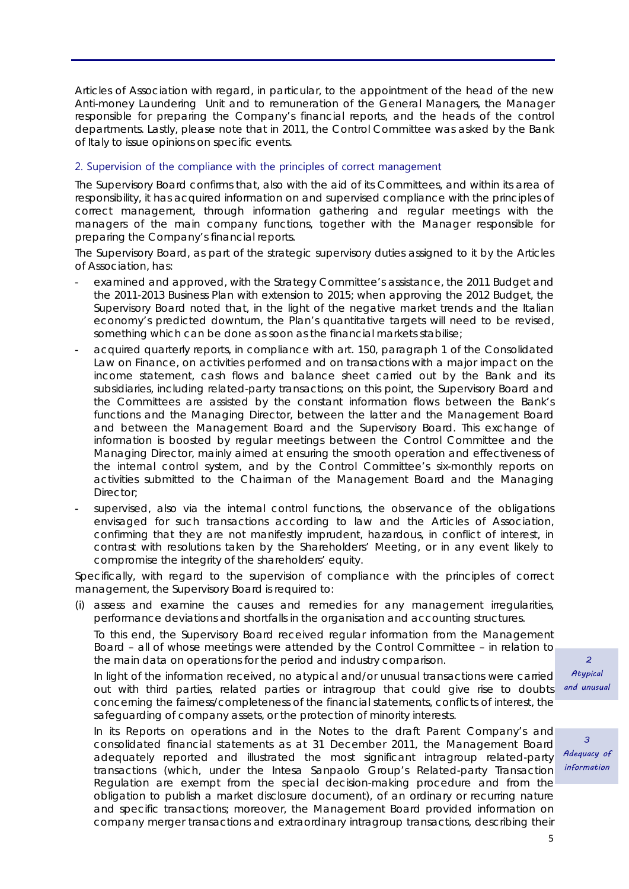Articles of Association with regard, in particular, to the appointment of the head of the new Anti-money Laundering Unit and to remuneration of the General Managers, the Manager responsible for preparing the Company's financial reports, and the heads of the control departments. Lastly, please note that in 2011, the Control Committee was asked by the Bank of Italy to issue opinions on specific events.

### 2. Supervision of the compliance with the principles of correct management

The Supervisory Board confirms that, also with the aid of its Committees, and within its area of responsibility, it has acquired information on and supervised compliance with the principles of correct management, through information gathering and regular meetings with the managers of the main company functions, together with the Manager responsible for preparing the Company's financial reports.

The Supervisory Board, as part of the strategic supervisory duties assigned to it by the Articles of Association, has:

- examined and approved, with the Strategy Committee's assistance, the 2011 Budget and the 2011-2013 Business Plan with extension to 2015; when approving the 2012 Budget, the Supervisory Board noted that, in the light of the negative market trends and the Italian economy's predicted downturn, the Plan's quantitative targets will need to be revised, something which can be done as soon as the financial markets stabilise;
- acquired quarterly reports, in compliance with art. 150, paragraph 1 of the Consolidated Law on Finance, on activities performed and on transactions with a major impact on the income statement, cash flows and balance sheet carried out by the Bank and its subsidiaries, including related-party transactions; on this point, the Supervisory Board and the Committees are assisted by the constant information flows between the Bank's functions and the Managing Director, between the latter and the Management Board and between the Management Board and the Supervisory Board. This exchange of information is boosted by regular meetings between the Control Committee and the Managing Director, mainly aimed at ensuring the smooth operation and effectiveness of the internal control system, and by the Control Committee's six-monthly reports on activities submitted to the Chairman of the Management Board and the Managing Director;
- supervised, also via the internal control functions, the observance of the obligations envisaged for such transactions according to law and the Articles of Association, confirming that they are not manifestly imprudent, hazardous, in conflict of interest, in contrast with resolutions taken by the Shareholders' Meeting, or in any event likely to compromise the integrity of the shareholders' equity.

Specifically, with regard to the supervision of compliance with the principles of correct management, the Supervisory Board is required to:

(i) assess and examine the causes and remedies for any management irregularities, performance deviations and shortfalls in the organisation and accounting structures.

To this end, the Supervisory Board received regular information from the Management Board – all of whose meetings were attended by the Control Committee – in relation to the main data on operations for the period and industry comparison.

In light of the information received, no atypical and/or unusual transactions were carried out with third parties, related parties or intragroup that could give rise to doubts concerning the fairness/completeness of the financial statements, conflicts of interest, the safeguarding of company assets, or the protection of minority interests.

In its Reports on operations and in the Notes to the draft Parent Company's and consolidated financial statements as at 31 December 2011, the Management Board adequately reported and illustrated the most significant intragroup related-party transactions (which, under the Intesa Sanpaolo Group's Related-party Transaction Regulation are exempt from the special decision-making procedure and from the obligation to publish a market disclosure document), of an ordinary or recurring nature and specific transactions; moreover, the Management Board provided information on company merger transactions and extraordinary intragroup transactions, describing their

 $\overline{2}$ Atypical and unusual

 $\overline{a}$ Adequacy of information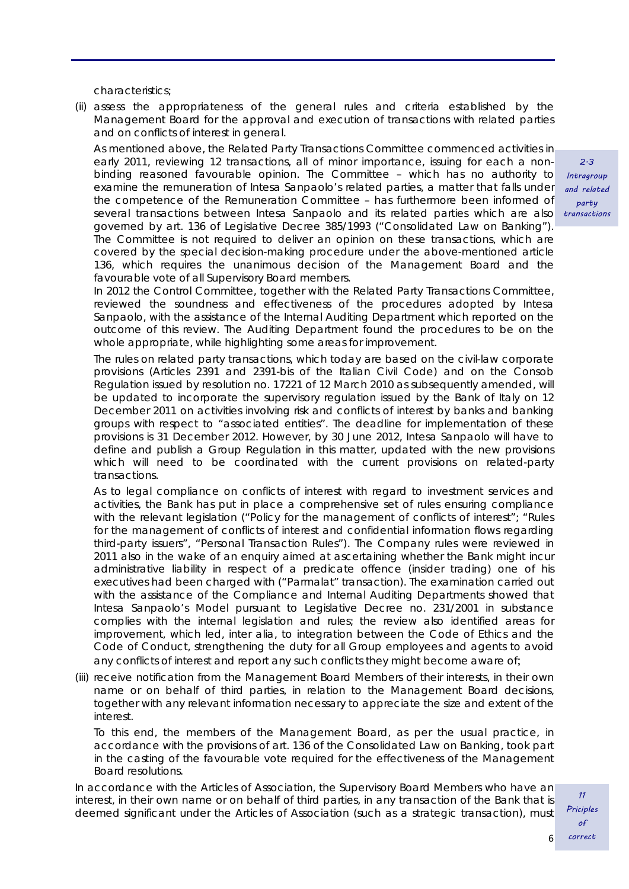characteristics;

(ii) assess the appropriateness of the general rules and criteria established by the Management Board for the approval and execution of transactions with related parties and on conflicts of interest in general.

As mentioned above, the Related Party Transactions Committee commenced activities in early 2011, reviewing 12 transactions, all of minor importance, issuing for each a nonbinding reasoned favourable opinion. The Committee – which has no authority to examine the remuneration of Intesa Sanpaolo's related parties, a matter that falls under the competence of the Remuneration Committee – has furthermore been informed of several transactions between Intesa Sanpaolo and its related parties which are also governed by art. 136 of Legislative Decree 385/1993 ("Consolidated Law on Banking"). The Committee is not required to deliver an opinion on these transactions, which are covered by the special decision-making procedure under the above-mentioned article 136, which requires the unanimous decision of the Management Board and the favourable vote of all Supervisory Board members.

In 2012 the Control Committee, together with the Related Party Transactions Committee, reviewed the soundness and effectiveness of the procedures adopted by Intesa Sanpaolo, with the assistance of the Internal Auditing Department which reported on the outcome of this review. The Auditing Department found the procedures to be on the whole appropriate, while highlighting some areas for improvement.

The rules on related party transactions, which today are based on the civil-law corporate provisions (Articles 2391 and 2391-bis of the Italian Civil Code) and on the Consob Regulation issued by resolution no. 17221 of 12 March 2010 as subsequently amended, will be updated to incorporate the supervisory regulation issued by the Bank of Italy on 12 December 2011 on activities involving risk and conflicts of interest by banks and banking groups with respect to "associated entities". The deadline for implementation of these provisions is 31 December 2012. However, by 30 June 2012, Intesa Sanpaolo will have to define and publish a Group Regulation in this matter, updated with the new provisions which will need to be coordinated with the current provisions on related-party transactions.

As to legal compliance on conflicts of interest with regard to investment services and activities, the Bank has put in place a comprehensive set of rules ensuring compliance with the relevant legislation ("Policy for the management of conflicts of interest"; "Rules for the management of conflicts of interest and confidential information flows regarding third-party issuers", "Personal Transaction Rules"). The Company rules were reviewed in 2011 also in the wake of an enquiry aimed at ascertaining whether the Bank might incur administrative liability in respect of a predicate offence (insider trading) one of his executives had been charged with ("Parmalat" transaction). The examination carried out with the assistance of the Compliance and Internal Auditing Departments showed that Intesa Sanpaolo's Model pursuant to Legislative Decree no. 231/2001 in substance complies with the internal legislation and rules; the review also identified areas for improvement, which led, *inter alia*, to integration between the Code of Ethics and the Code of Conduct, strengthening the duty for all Group employees and agents to avoid any conflicts of interest and report any such conflicts they might become aware of;

(iii) receive notification from the Management Board Members of their interests, in their own name or on behalf of third parties, in relation to the Management Board decisions, together with any relevant information necessary to appreciate the size and extent of the interest.

To this end, the members of the Management Board, as per the usual practice, in accordance with the provisions of art. 136 of the Consolidated Law on Banking, took part in the casting of the favourable vote required for the effectiveness of the Management Board resolutions.

In accordance with the Articles of Association, the Supervisory Board Members who have an interest, in their own name or on behalf of third parties, in any transaction of the Bank that is deemed significant under the Articles of Association (such as a strategic transaction), must

2.3 Intragroup and related party transactions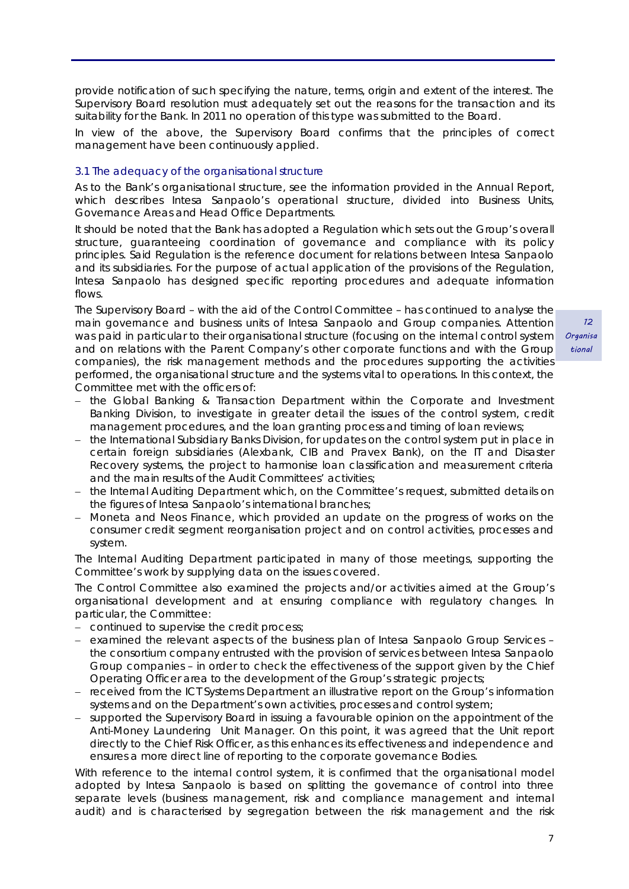provide notification of such specifying the nature, terms, origin and extent of the interest. The Supervisory Board resolution must adequately set out the reasons for the transaction and its suitability for the Bank. In 2011 no operation of this type was submitted to the Board.

In view of the above, the Supervisory Board confirms that the principles of correct management have been continuously applied.

#### *3.1 The adequacy of the organisational structure*

As to the Bank's organisational structure, see the information provided in the Annual Report, which describes Intesa Sanpaolo's operational structure, divided into Business Units, Governance Areas and Head Office Departments.

It should be noted that the Bank has adopted a Regulation which sets out the Group's overall structure, guaranteeing coordination of governance and compliance with its policy principles. Said Regulation is the reference document for relations between Intesa Sanpaolo and its subsidiaries. For the purpose of actual application of the provisions of the Regulation, Intesa Sanpaolo has designed specific reporting procedures and adequate information flows.

The Supervisory Board – with the aid of the Control Committee – has continued to analyse the main governance and business units of Intesa Sanpaolo and Group companies. Attention was paid in particular to their organisational structure (focusing on the internal control system and on relations with the Parent Company's other corporate functions and with the Group companies), the risk management methods and the procedures supporting the activities performed, the organisational structure and the systems vital to operations. In this context, the Committee met with the officers of:

- the Global Banking & Transaction Department within the Corporate and Investment Banking Division, to investigate in greater detail the issues of the control system, credit management procedures, and the loan granting process and timing of loan reviews;
- the International Subsidiary Banks Division, for updates on the control system put in place in certain foreign subsidiaries (Alexbank, CIB and Pravex Bank), on the IT and Disaster Recovery systems, the project to harmonise loan classification and measurement criteria and the main results of the Audit Committees' activities;
- the Internal Auditing Department which, on the Committee's request, submitted details on the figures of Intesa Sanpaolo's international branches;
- Moneta and Neos Finance, which provided an update on the progress of works on the consumer credit segment reorganisation project and on control activities, processes and system.

The Internal Auditing Department participated in many of those meetings, supporting the Committee's work by supplying data on the issues covered.

The Control Committee also examined the projects and/or activities aimed at the Group's organisational development and at ensuring compliance with regulatory changes. In particular, the Committee:

- continued to supervise the credit process;
- examined the relevant aspects of the business plan of Intesa Sanpaolo Group Services the consortium company entrusted with the provision of services between Intesa Sanpaolo Group companies – in order to check the effectiveness of the support given by the Chief Operating Officer area to the development of the Group's strategic projects;
- received from the ICT Systems Department an illustrative report on the Group's information systems and on the Department's own activities, processes and control system;
- supported the Supervisory Board in issuing a favourable opinion on the appointment of the Anti-Money Laundering Unit Manager. On this point, it was agreed that the Unit report directly to the Chief Risk Officer, as this enhances its effectiveness and independence and ensures a more direct line of reporting to the corporate governance Bodies.

With reference to the internal control system, it is confirmed that the organisational model adopted by Intesa Sanpaolo is based on splitting the governance of control into three separate levels (business management, risk and compliance management and internal audit) and is characterised by segregation between the risk management and the risk

 12 **Organisa** tional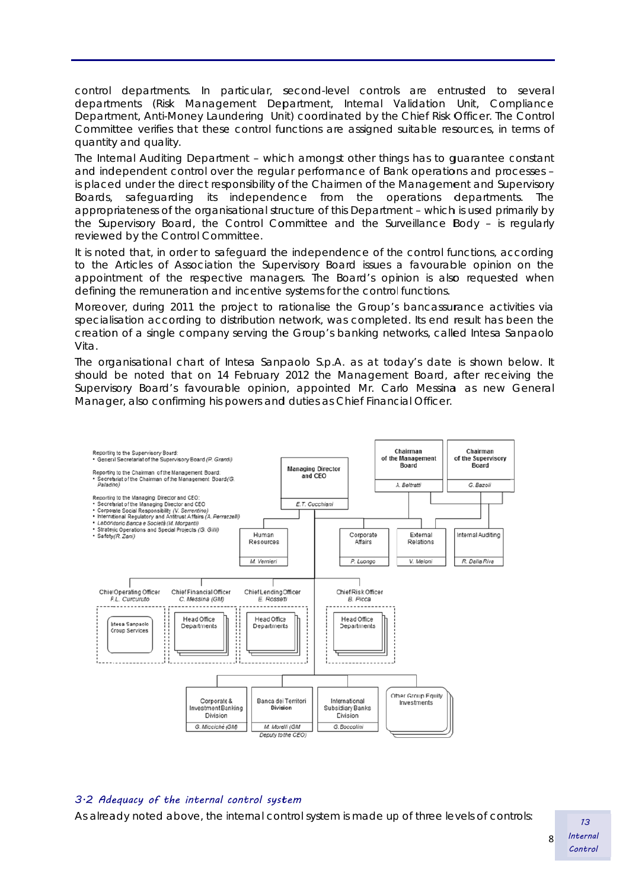control departments. In particular, second-level controls are entrusted to several departments (Risk Management Department, Internal Validation Unit, Compliance Department, Anti-Money Laundering Unit) coordinated by the Chief Risk Officer. The Control Committee verifies that these control functions are assigned suitable resources, in terms of quantity and quality.

The Internal Auditing Department - which amongst other things has to guarantee constant and independent control over the regular performance of Bank operations and processes is placed under the direct responsibility of the Chairmen of the Management and Supervisory Boards, appropriateness of the organisational structure of this Department - which is used primarily by the Supervisory Board, the Control Committee and the Surveillance Body - is regularly reviewed by the Control Committee. safeguarding its independence from the operations departments. The

It is noted that, in order to safeguard the independence of the control functions, according to the Articles of Association the Supervisory Board issues a favourable opinion on the appointment of the respective managers. The Board's opinion is also requested when defining the remuneration and incentive systems for the control functions.

Moreover, during 2011 the project to rationalise the Group's bancassurance activities via specialisation according to distribution network, was completed. Its end result has been the creation of a single company serving the Group's banking networks, called Intesa Sanpaolo Vita.

The organisational chart of Intesa Sanpaolo S.p.A. as at today's date is shown below. It should be noted that on 14 February 2012 the Management Board, after receiving the Supervisory Board's favourable opinion, appointed Mr. Carlo Messina as new General Manager, also confirming his powers and duties as Chief Financial Officer.



### 3·2 Adequacy of the internal control system

As already noted above, the internal control system is made up of three levels of controls:  $\frac{13}{13}$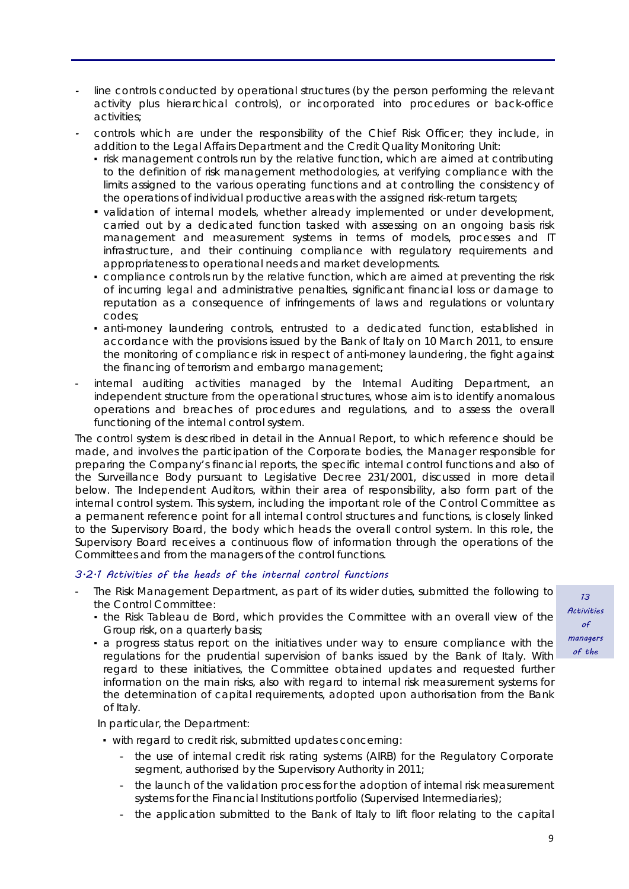- *-* line controls conducted by operational structures (by the person performing the relevant activity plus hierarchical controls), or incorporated into procedures or back-office activities;
- *-* controls which are under the responsibility of the Chief Risk Officer; they include, in addition to the Legal Affairs Department and the Credit Quality Monitoring Unit:
	- risk management controls run by the relative function, which are aimed at contributing to the definition of risk management methodologies, at verifying compliance with the limits assigned to the various operating functions and at controlling the consistency of the operations of individual productive areas with the assigned risk-return targets;
	- validation of internal models, whether already implemented or under development, carried out by a dedicated function tasked with assessing on an ongoing basis risk management and measurement systems in terms of models, processes and IT infrastructure, and their continuing compliance with regulatory requirements and appropriateness to operational needs and market developments.
	- compliance controls run by the relative function, which are aimed at preventing the risk of incurring legal and administrative penalties, significant financial loss or damage to reputation as a consequence of infringements of laws and regulations or voluntary codes;
	- anti-money laundering controls, entrusted to a dedicated function, established in accordance with the provisions issued by the Bank of Italy on 10 March 2011, to ensure the monitoring of compliance risk in respect of anti-money laundering, the fight against the financing of terrorism and embargo management;
- internal auditing activities managed by the Internal Auditing Department, an independent structure from the operational structures, whose aim is to identify anomalous operations and breaches of procedures and regulations, and to assess the overall functioning of the internal control system.

The control system is described in detail in the Annual Report, to which reference should be made, and involves the participation of the Corporate bodies, the Manager responsible for preparing the Company's financial reports, the specific internal control functions and also of the Surveillance Body pursuant to Legislative Decree 231/2001, discussed in more detail below. The Independent Auditors, within their area of responsibility, also form part of the internal control system. This system, including the important role of the Control Committee as a permanent reference point for all internal control structures and functions, is closely linked to the Supervisory Board, the body which heads the overall control system. In this role, the Supervisory Board receives a continuous flow of information through the operations of the Committees and from the managers of the control functions.

# 3.2.1 Activities of the heads of the internal control functions

- The Risk Management Department, as part of its wider duties, submitted the following to the Control Committee:
	- the Risk *Tableau de Bord*, which provides the Committee with an overall view of the Group risk, on a quarterly basis;
	- a progress status report on the initiatives under way to ensure compliance with the regulations for the prudential supervision of banks issued by the Bank of Italy. With regard to these initiatives, the Committee obtained updates and requested further information on the main risks, also with regard to internal risk measurement systems for the determination of capital requirements, adopted upon authorisation from the Bank of Italy.

In particular, the Department:

- with regard to credit risk, submitted updates concerning:
	- the use of internal credit risk rating systems (AIRB) for the Regulatory Corporate segment, authorised by the Supervisory Authority in 2011;
	- the launch of the validation process for the adoption of internal risk measurement systems for the Financial Institutions portfolio (Supervised Intermediaries);
	- the application submitted to the Bank of Italy to lift floor relating to the capital

13 Activities  $\delta$ managers of the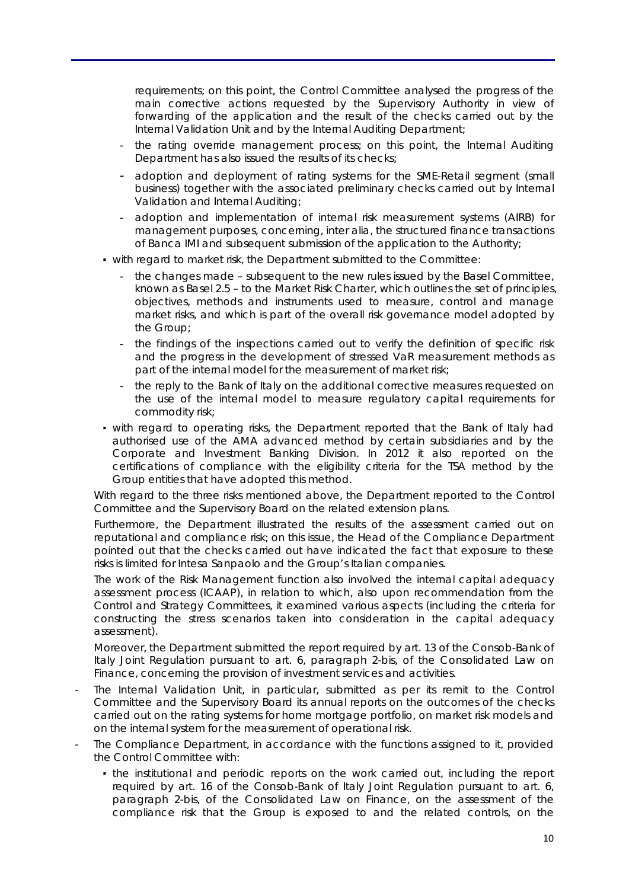requirements; on this point, the Control Committee analysed the progress of the main corrective actions requested by the Supervisory Authority in view of forwarding of the application and the result of the checks carried out by the Internal Validation Unit and by the Internal Auditing Department;

- the rating override management process; on this point, the Internal Auditing Department has also issued the results of its checks;
- adoption and deployment of rating systems for the SME-Retail segment (*small business*) together with the associated preliminary checks carried out by Internal Validation and Internal Auditing;
- adoption and implementation of internal risk measurement systems (AIRB) for management purposes, concerning, *inter alia*, the structured finance transactions of Banca IMI and subsequent submission of the application to the Authority;
- with regard to market risk, the Department submitted to the Committee:
	- the changes made subsequent to the new rules issued by the Basel Committee, known as Basel 2.5 – to the Market Risk Charter, which outlines the set of principles, objectives, methods and instruments used to measure, control and manage market risks, and which is part of the overall risk governance model adopted by the Group;
	- the findings of the inspections carried out to verify the definition of specific risk and the progress in the development of stressed VaR measurement methods as part of the internal model for the measurement of market risk;
	- the reply to the Bank of Italy on the additional corrective measures requested on the use of the internal model to measure regulatory capital requirements for commodity risk;
- with regard to operating risks, the Department reported that the Bank of Italy had authorised use of the AMA advanced method by certain subsidiaries and by the Corporate and Investment Banking Division. In 2012 it also reported on the certifications of compliance with the eligibility criteria for the TSA method by the Group entities that have adopted this method.

With regard to the three risks mentioned above, the Department reported to the Control Committee and the Supervisory Board on the related extension plans.

Furthermore, the Department illustrated the results of the assessment carried out on reputational and compliance risk; on this issue, the Head of the Compliance Department pointed out that the checks carried out have indicated the fact that exposure to these risks is limited for Intesa Sanpaolo and the Group's Italian companies.

The work of the Risk Management function also involved the internal capital adequacy assessment process (ICAAP), in relation to which, also upon recommendation from the Control and Strategy Committees, it examined various aspects (including the criteria for constructing the stress scenarios taken into consideration in the capital adequacy assessment).

Moreover, the Department submitted the report required by art. 13 of the Consob-Bank of Italy Joint Regulation pursuant to art. 6, paragraph 2-bis, of the Consolidated Law on Finance, concerning the provision of investment services and activities.

- The Internal Validation Unit, in particular, submitted as per its remit to the Control Committee and the Supervisory Board its annual reports on the outcomes of the checks carried out on the rating systems for home mortgage portfolio, on market risk models and on the internal system for the measurement of operational risk.
- The Compliance Department, in accordance with the functions assigned to it, provided the Control Committee with:
	- the institutional and periodic reports on the work carried out, including the report required by art. 16 of the Consob-Bank of Italy Joint Regulation pursuant to art. 6, paragraph 2-bis, of the Consolidated Law on Finance, on the assessment of the compliance risk that the Group is exposed to and the related controls, on the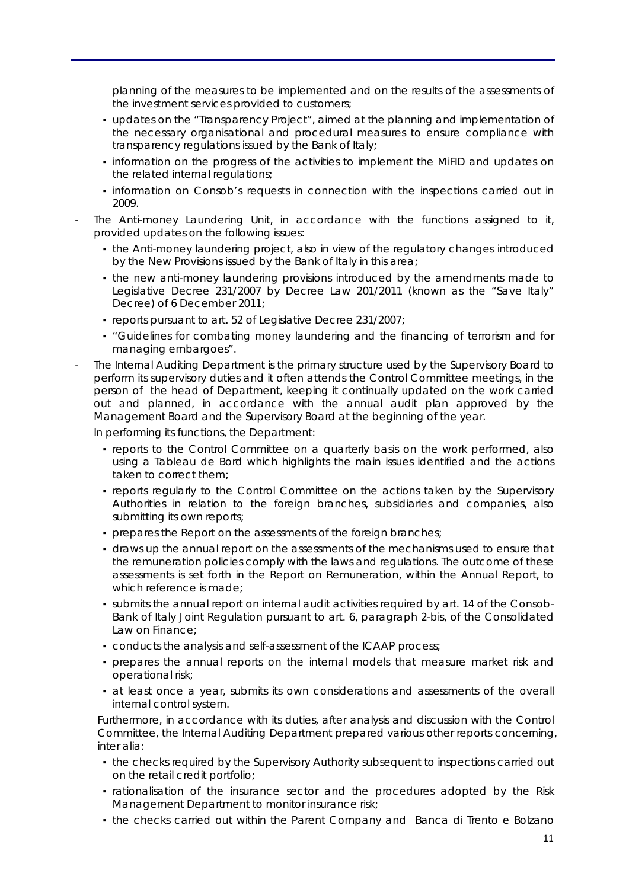planning of the measures to be implemented and on the results of the assessments of the investment services provided to customers;

- updates on the "Transparency Project", aimed at the planning and implementation of the necessary organisational and procedural measures to ensure compliance with transparency regulations issued by the Bank of Italy;
- information on the progress of the activities to implement the MiFID and updates on the related internal regulations;
- information on Consob's requests in connection with the inspections carried out in 2009.
- The Anti-money Laundering Unit, in accordance with the functions assigned to it, provided updates on the following issues:
	- the Anti-money laundering project, also in view of the regulatory changes introduced by the New Provisions issued by the Bank of Italy in this area;
	- the new anti-money laundering provisions introduced by the amendments made to Legislative Decree 231/2007 by Decree Law 201/2011 (known as the "Save Italy" Decree) of 6 December 2011;
	- reports pursuant to art. 52 of Legislative Decree 231/2007;
	- "Guidelines for combating money laundering and the financing of terrorism and for managing embargoes".
- The Internal Auditing Department is the primary structure used by the Supervisory Board to perform its supervisory duties and it often attends the Control Committee meetings, in the person of the head of Department, keeping it continually updated on the work carried out and planned, in accordance with the annual audit plan approved by the Management Board and the Supervisory Board at the beginning of the year.

In performing its functions, the Department:

- reports to the Control Committee on a quarterly basis on the work performed, also using a *Tableau de Bord* which highlights the main issues identified and the actions taken to correct them;
- reports regularly to the Control Committee on the actions taken by the Supervisory Authorities in relation to the foreign branches, subsidiaries and companies, also submitting its own reports;
- **prepares the Report on the assessments of the foreign branches;**
- **.** draws up the annual report on the assessments of the mechanisms used to ensure that the remuneration policies comply with the laws and regulations. The outcome of these assessments is set forth in the Report on Remuneration, within the Annual Report, to which reference is made;
- submits the annual report on internal audit activities required by art. 14 of the Consob-Bank of Italy Joint Regulation pursuant to art. 6, paragraph 2-bis, of the Consolidated Law on Finance;
- conducts the analysis and self-assessment of the ICAAP process;
- prepares the annual reports on the internal models that measure market risk and operational risk;
- **•** at least once a year, submits its own considerations and assessments of the overall internal control system.

Furthermore, in accordance with its duties, after analysis and discussion with the Control Committee, the Internal Auditing Department prepared various other reports concerning, *inter alia*:

- . the checks required by the Supervisory Authority subsequent to inspections carried out on the retail credit portfolio;
- rationalisation of the insurance sector and the procedures adopted by the Risk Management Department to monitor insurance risk;
- the checks carried out within the Parent Company and Banca di Trento e Bolzano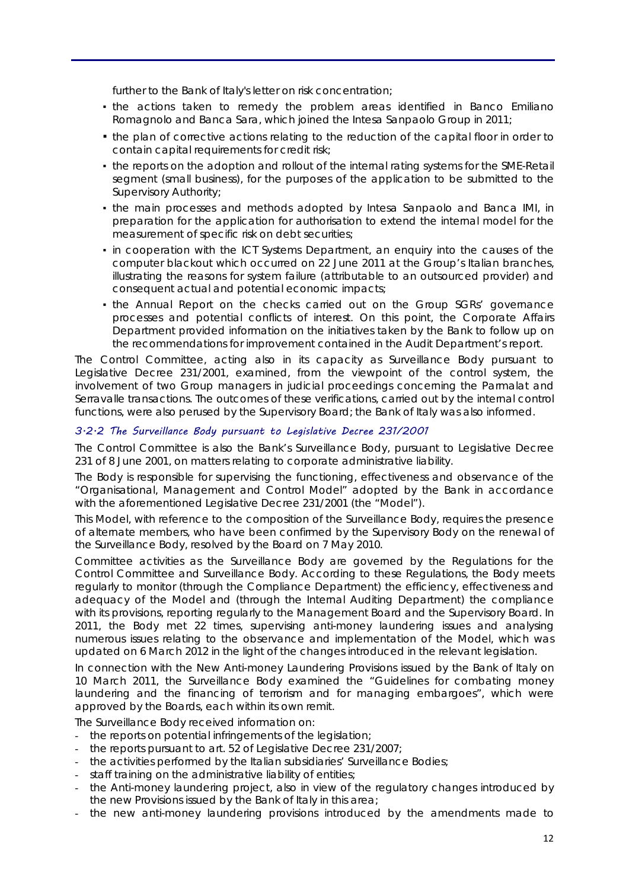further to the Bank of Italy's letter on risk concentration;

- . the actions taken to remedy the problem areas identified in Banco Emiliano Romagnolo and Banca Sara, which joined the Intesa Sanpaolo Group in 2011;
- the plan of corrective actions relating to the reduction of the capital floor in order to contain capital requirements for credit risk;
- the reports on the adoption and rollout of the internal rating systems for the SME-Retail segment (small business), for the purposes of the application to be submitted to the Supervisory Authority;
- the main processes and methods adopted by Intesa Sanpaolo and Banca IMI, in preparation for the application for authorisation to extend the internal model for the measurement of specific risk on debt securities;
- in cooperation with the ICT Systems Department, an enquiry into the causes of the computer blackout which occurred on 22 June 2011 at the Group's Italian branches, illustrating the reasons for system failure (attributable to an outsourced provider) and consequent actual and potential economic impacts;
- the Annual Report on the checks carried out on the Group SGRs' governance processes and potential conflicts of interest. On this point, the Corporate Affairs Department provided information on the initiatives taken by the Bank to follow up on the recommendations for improvement contained in the Audit Department's report.

The Control Committee, acting also in its capacity as Surveillance Body pursuant to Legislative Decree 231/2001, examined, from the viewpoint of the control system, the involvement of two Group managers in judicial proceedings concerning the Parmalat and Serravalle transactions. The outcomes of these verifications, carried out by the internal control functions, were also perused by the Supervisory Board; the Bank of Italy was also informed.

# 3.2.2 The Surveillance Body pursuant to Legislative Decree 231/2001

The Control Committee is also the Bank's Surveillance Body, pursuant to Legislative Decree 231 of 8 June 2001, on matters relating to corporate administrative liability.

The Body is responsible for supervising the functioning, effectiveness and observance of the "Organisational, Management and Control Model" adopted by the Bank in accordance with the aforementioned Legislative Decree 231/2001 (the "Model").

This Model, with reference to the composition of the Surveillance Body, requires the presence of alternate members, who have been confirmed by the Supervisory Body on the renewal of the Surveillance Body, resolved by the Board on 7 May 2010.

Committee activities as the Surveillance Body are governed by the Regulations for the Control Committee and Surveillance Body. According to these Regulations, the Body meets regularly to monitor (through the Compliance Department) the efficiency, effectiveness and adequacy of the Model and (through the Internal Auditing Department) the compliance with its provisions, reporting regularly to the Management Board and the Supervisory Board. In 2011, the Body met 22 times, supervising anti-money laundering issues and analysing numerous issues relating to the observance and implementation of the Model, which was updated on 6 March 2012 in the light of the changes introduced in the relevant legislation.

In connection with the New Anti-money Laundering Provisions issued by the Bank of Italy on 10 March 2011, the Surveillance Body examined the "Guidelines for combating money laundering and the financing of terrorism and for managing embargoes", which were approved by the Boards, each within its own remit.

The Surveillance Body received information on:

- the reports on potential infringements of the legislation;
- the reports pursuant to art. 52 of Legislative Decree 231/2007;
- the activities performed by the Italian subsidiaries' Surveillance Bodies;
- staff training on the administrative liability of entities;
- the Anti-money laundering project, also in view of the regulatory changes introduced by the new Provisions issued by the Bank of Italy in this area;
- the new anti-money laundering provisions introduced by the amendments made to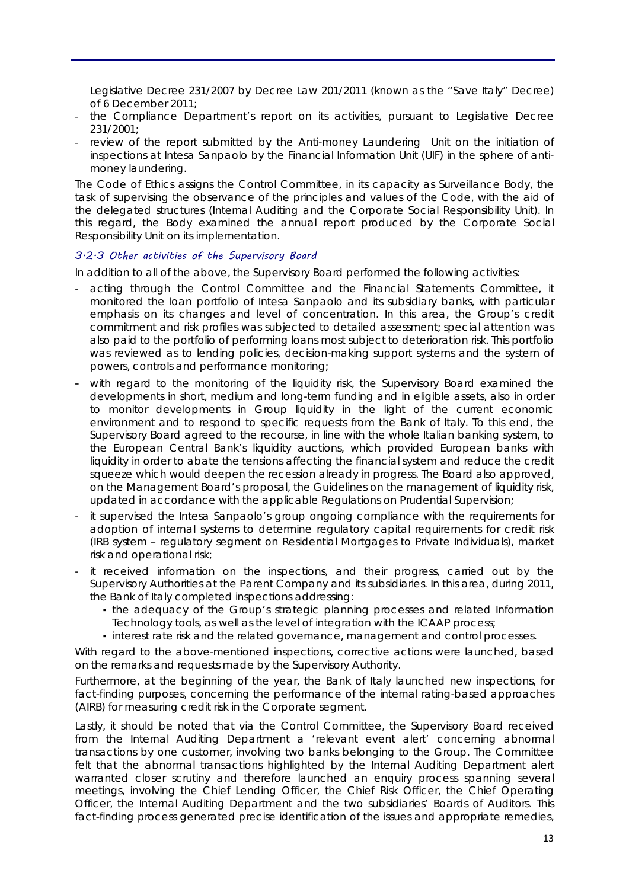Legislative Decree 231/2007 by Decree Law 201/2011 (known as the "Save Italy" Decree) of 6 December 2011;

- the Compliance Department's report on its activities, pursuant to Legislative Decree 231/2001;
- review of the report submitted by the Anti-money Laundering Unit on the initiation of inspections at Intesa Sanpaolo by the Financial Information Unit (UIF) in the sphere of antimoney laundering.

The Code of Ethics assigns the Control Committee, in its capacity as Surveillance Body, the task of supervising the observance of the principles and values of the Code, with the aid of the delegated structures (Internal Auditing and the Corporate Social Responsibility Unit). In this regard, the Body examined the annual report produced by the Corporate Social Responsibility Unit on its implementation.

#### 3.2.3 Other activities of the Supervisory Board

In addition to all of the above, the Supervisory Board performed the following activities:

- acting through the Control Committee and the Financial Statements Committee, it monitored the loan portfolio of Intesa Sanpaolo and its subsidiary banks, with particular emphasis on its changes and level of concentration. In this area, the Group's credit commitment and risk profiles was subjected to detailed assessment; special attention was also paid to the portfolio of performing loans most subject to deterioration risk. This portfolio was reviewed as to lending policies, decision-making support systems and the system of powers, controls and performance monitoring;
- with regard to the monitoring of the liquidity risk, the Supervisory Board examined the developments in short, medium and long-term funding and in eligible assets, also in order to monitor developments in Group liquidity in the light of the current economic environment and to respond to specific requests from the Bank of Italy. To this end, the Supervisory Board agreed to the recourse, in line with the whole Italian banking system, to the European Central Bank's liquidity auctions, which provided European banks with liquidity in order to abate the tensions affecting the financial system and reduce the credit squeeze which would deepen the recession already in progress. The Board also approved, on the Management Board's proposal, the Guidelines on the management of liquidity risk, updated in accordance with the applicable Regulations on Prudential Supervision;
- it supervised the Intesa Sanpaolo's group ongoing compliance with the requirements for adoption of internal systems to determine regulatory capital requirements for credit risk (IRB system – regulatory segment on Residential Mortgages to Private Individuals), market risk and operational risk;
- it received information on the inspections, and their progress, carried out by the Supervisory Authorities at the Parent Company and its subsidiaries. In this area, during 2011, the Bank of Italy completed inspections addressing:
	- the adequacy of the Group's strategic planning processes and related Information Technology tools, as well as the level of integration with the ICAAP process;
	- interest rate risk and the related governance, management and control processes.

With regard to the above-mentioned inspections, corrective actions were launched, based on the remarks and requests made by the Supervisory Authority.

Furthermore, at the beginning of the year, the Bank of Italy launched new inspections, for fact-finding purposes, concerning the performance of the internal rating-based approaches (AIRB) for measuring credit risk in the Corporate segment.

Lastly, it should be noted that via the Control Committee, the Supervisory Board received from the Internal Auditing Department a 'relevant event alert' concerning abnormal transactions by one customer, involving two banks belonging to the Group. The Committee felt that the abnormal transactions highlighted by the Internal Auditing Department alert warranted closer scrutiny and therefore launched an enquiry process spanning several meetings, involving the Chief Lending Officer, the Chief Risk Officer, the Chief Operating Officer, the Internal Auditing Department and the two subsidiaries' Boards of Auditors. This fact-finding process generated precise identification of the issues and appropriate remedies,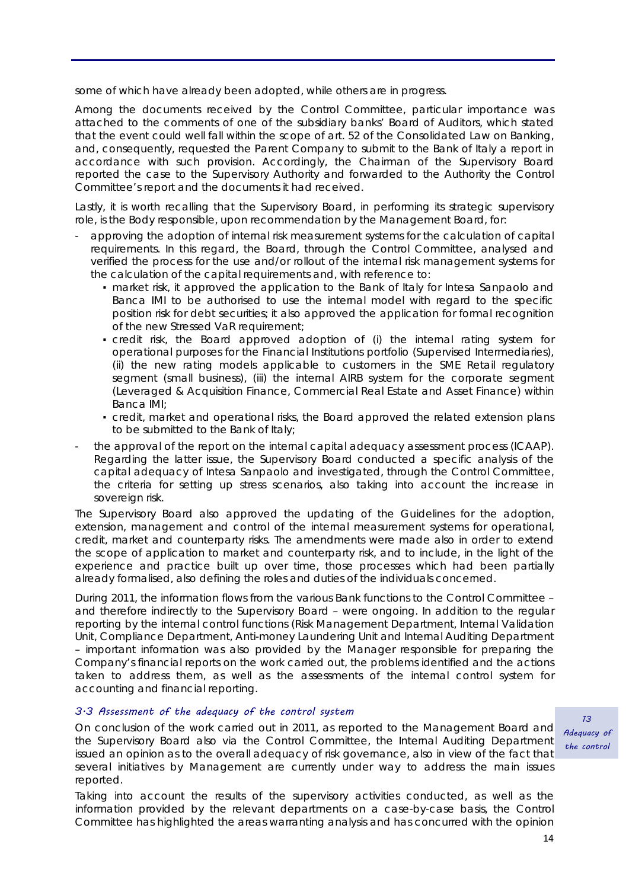some of which have already been adopted, while others are in progress.

Among the documents received by the Control Committee, particular importance was attached to the comments of one of the subsidiary banks' Board of Auditors, which stated that the event could well fall within the scope of art. 52 of the Consolidated Law on Banking, and, consequently, requested the Parent Company to submit to the Bank of Italy a report in accordance with such provision. Accordingly, the Chairman of the Supervisory Board reported the case to the Supervisory Authority and forwarded to the Authority the Control Committee's report and the documents it had received.

Lastly, it is worth recalling that the Supervisory Board, in performing its strategic supervisory role, is the Body responsible, upon recommendation by the Management Board, for:

- approving the adoption of internal risk measurement systems for the calculation of capital requirements. In this regard, the Board, through the Control Committee, analysed and verified the process for the use and/or rollout of the internal risk management systems for the calculation of the capital requirements and, with reference to:
	- market risk, it approved the application to the Bank of Italy for Intesa Sanpaolo and Banca IMI to be authorised to use the internal model with regard to the specific position risk for debt securities; it also approved the application for formal recognition of the new Stressed VaR requirement;
	- credit risk, the Board approved adoption of (i) the internal rating system for operational purposes for the Financial Institutions portfolio (Supervised Intermediaries), (ii) the new rating models applicable to customers in the SME Retail regulatory segment (small business), (iii) the internal AIRB system for the corporate segment (Leveraged & Acquisition Finance, Commercial Real Estate and Asset Finance) within Banca IMI;
	- credit, market and operational risks, the Board approved the related extension plans to be submitted to the Bank of Italy;
- the approval of the report on the internal capital adequacy assessment process (ICAAP). Regarding the latter issue, the Supervisory Board conducted a specific analysis of the capital adequacy of Intesa Sanpaolo and investigated, through the Control Committee, the criteria for setting up stress scenarios, also taking into account the increase in sovereign risk.

The Supervisory Board also approved the updating of the Guidelines for the adoption, extension, management and control of the internal measurement systems for operational, credit, market and counterparty risks. The amendments were made also in order to extend the scope of application to market and counterparty risk, and to include, in the light of the experience and practice built up over time, those processes which had been partially already formalised, also defining the roles and duties of the individuals concerned.

During 2011, the information flows from the various Bank functions to the Control Committee – and therefore indirectly to the Supervisory Board – were ongoing. In addition to the regular reporting by the internal control functions (Risk Management Department, Internal Validation Unit, Compliance Department, Anti-money Laundering Unit and Internal Auditing Department – important information was also provided by the Manager responsible for preparing the Company's financial reports on the work carried out, the problems identified and the actions taken to address them, as well as the assessments of the internal control system for accounting and financial reporting.

#### 3.3 Assessment of the adequacy of the control system

On conclusion of the work carried out in 2011, as reported to the Management Board and the Supervisory Board also via the Control Committee, the Internal Auditing Department issued an opinion as to the overall adequacy of risk governance, also in view of the fact that several initiatives by Management are currently under way to address the main issues reported.

Taking into account the results of the supervisory activities conducted, as well as the information provided by the relevant departments on a case-by-case basis, the Control Committee has highlighted the areas warranting analysis and has concurred with the opinion

13 Adequacy of the control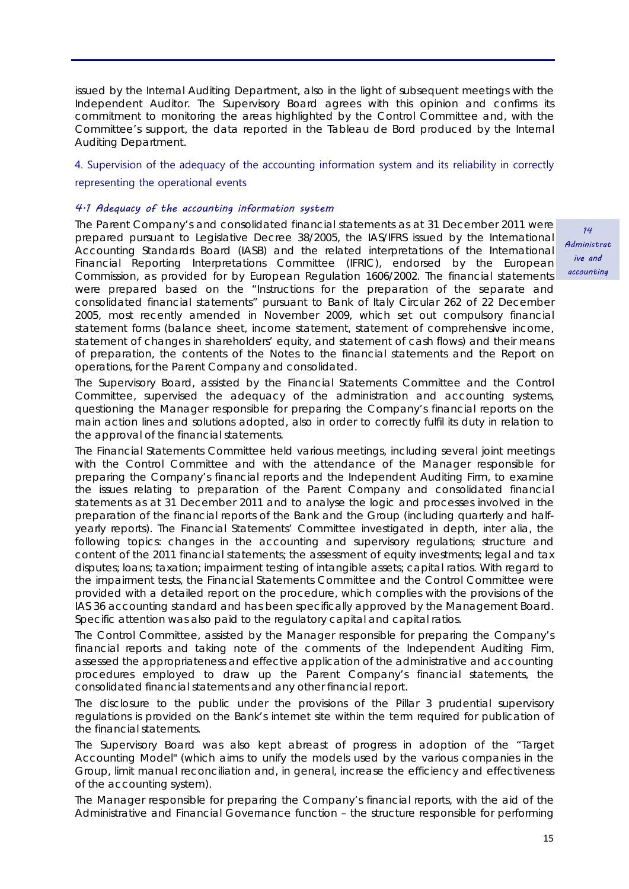issued by the Internal Auditing Department, also in the light of subsequent meetings with the Independent Auditor. The Supervisory Board agrees with this opinion and confirms its commitment to monitoring the areas highlighted by the Control Committee and, with the Committee's support, the data reported in the Tableau de Bord produced by the Internal Auditing Department.

### 4. Supervision of the adequacy of the accounting information system and its reliability in correctly

#### representing the operational events

#### 4.1 Adequacy of the accounting information system

The Parent Company's and consolidated financial statements as at 31 December 2011 were prepared pursuant to Legislative Decree 38/2005, the IAS/IFRS issued by the International Accounting Standards Board (IASB) and the related interpretations of the International Financial Reporting Interpretations Committee (IFRIC), endorsed by the European Commission, as provided for by European Regulation 1606/2002. The financial statements were prepared based on the "Instructions for the preparation of the separate and consolidated financial statements" pursuant to Bank of Italy Circular 262 of 22 December 2005, most recently amended in November 2009, which set out compulsory financial statement forms (balance sheet, income statement, statement of comprehensive income, statement of changes in shareholders' equity, and statement of cash flows) and their means of preparation, the contents of the Notes to the financial statements and the Report on operations, for the Parent Company and consolidated.

The Supervisory Board, assisted by the Financial Statements Committee and the Control Committee, supervised the adequacy of the administration and accounting systems, questioning the Manager responsible for preparing the Company's financial reports on the main action lines and solutions adopted, also in order to correctly fulfil its duty in relation to the approval of the financial statements.

The Financial Statements Committee held various meetings, including several joint meetings with the Control Committee and with the attendance of the Manager responsible for preparing the Company's financial reports and the Independent Auditing Firm, to examine the issues relating to preparation of the Parent Company and consolidated financial statements as at 31 December 2011 and to analyse the logic and processes involved in the preparation of the financial reports of the Bank and the Group (including quarterly and halfyearly reports). The Financial Statements' Committee investigated in depth, *inter alia*, the following topics: changes in the accounting and supervisory regulations; structure and content of the 2011 financial statements; the assessment of equity investments; legal and tax disputes; loans; taxation; impairment testing of intangible assets; capital ratios. With regard to the impairment tests, the Financial Statements Committee and the Control Committee were provided with a detailed report on the procedure, which complies with the provisions of the IAS 36 accounting standard and has been specifically approved by the Management Board. Specific attention was also paid to the regulatory capital and capital ratios.

The Control Committee, assisted by the Manager responsible for preparing the Company's financial reports and taking note of the comments of the Independent Auditing Firm, assessed the appropriateness and effective application of the administrative and accounting procedures employed to draw up the Parent Company's financial statements, the consolidated financial statements and any other financial report.

The disclosure to the public under the provisions of the Pillar 3 prudential supervisory regulations is provided on the Bank's internet site within the term required for publication of the financial statements.

The Supervisory Board was also kept abreast of progress in adoption of the "Target Accounting Model" (which aims to unify the models used by the various companies in the Group, limit manual reconciliation and, in general, increase the efficiency and effectiveness of the accounting system).

The Manager responsible for preparing the Company's financial reports, with the aid of the Administrative and Financial Governance function – the structure responsible for performing

14 **Administrat** ive and accounting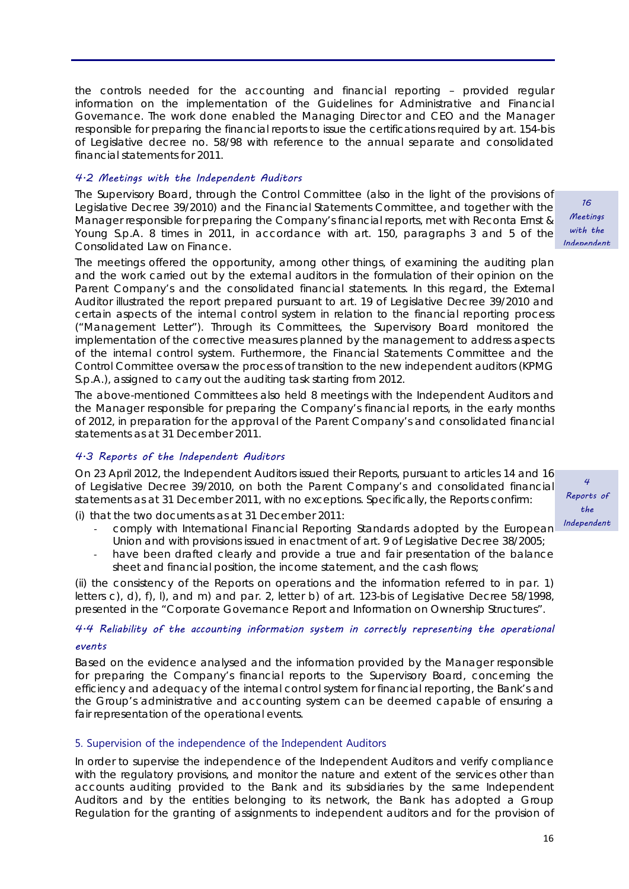the controls needed for the accounting and financial reporting – provided regular information on the implementation of the Guidelines for Administrative and Financial Governance. The work done enabled the Managing Director and CEO and the Manager responsible for preparing the financial reports to issue the certifications required by art. 154*-bis* of Legislative decree no. 58/98 with reference to the annual separate and consolidated financial statements for 2011.

#### 4.2 Meetings with the Independent Auditors

The Supervisory Board, through the Control Committee (also in the light of the provisions of Legislative Decree 39/2010) and the Financial Statements Committee, and together with the Manager responsible for preparing the Company's financial reports, met with Reconta Ernst & Young S.p.A. 8 times in 2011, in accordance with art. 150, paragraphs 3 and 5 of the Consolidated Law on Finance.

The meetings offered the opportunity, among other things, of examining the auditing plan and the work carried out by the external auditors in the formulation of their opinion on the Parent Company's and the consolidated financial statements. In this regard, the External Auditor illustrated the report prepared pursuant to art. 19 of Legislative Decree 39/2010 and certain aspects of the internal control system in relation to the financial reporting process ("Management Letter"). Through its Committees, the Supervisory Board monitored the implementation of the corrective measures planned by the management to address aspects of the internal control system. Furthermore, the Financial Statements Committee and the Control Committee oversaw the process of transition to the new independent auditors (KPMG S.p.A.), assigned to carry out the auditing task starting from 2012.

The above-mentioned Committees also held 8 meetings with the Independent Auditors and the Manager responsible for preparing the Company's financial reports, in the early months of 2012, in preparation for the approval of the Parent Company's and consolidated financial statements as at 31 December 2011.

### 4.3 Reports of the Independent Auditors

On 23 April 2012, the Independent Auditors issued their Reports, pursuant to articles 14 and 16 of Legislative Decree 39/2010, on both the Parent Company's and consolidated financial statements as at 31 December 2011, with no exceptions. Specifically, the Reports confirm:

(i) that the two documents as at 31 December 2011:

- ‐ comply with International Financial Reporting Standards adopted by the European Union and with provisions issued in enactment of art. 9 of Legislative Decree 38/2005;
- have been drafted clearly and provide a true and fair presentation of the balance sheet and financial position, the income statement, and the cash flows;

(ii) the consistency of the Reports on operations and the information referred to in par. 1) letters c), d), f), l), and m) and par. 2, letter b) of art. 123-bis of Legislative Decree 58/1998, presented in the "Corporate Governance Report and Information on Ownership Structures".

# 4.4 Reliability of the accounting information system in correctly representing the operational events

Based on the evidence analysed and the information provided by the Manager responsible for preparing the Company's financial reports to the Supervisory Board, concerning the efficiency and adequacy of the internal control system for financial reporting, the Bank's and the Group's administrative and accounting system can be deemed capable of ensuring a fair representation of the operational events.

#### 5. Supervision of the independence of the Independent Auditors

In order to supervise the independence of the Independent Auditors and verify compliance with the regulatory provisions, and monitor the nature and extent of the services other than accounts auditing provided to the Bank and its subsidiaries by the same Independent Auditors and by the entities belonging to its network, the Bank has adopted a Group Regulation for the granting of assignments to independent auditors and for the provision of

4 Reports of the Independent

16 Meetings with the Independent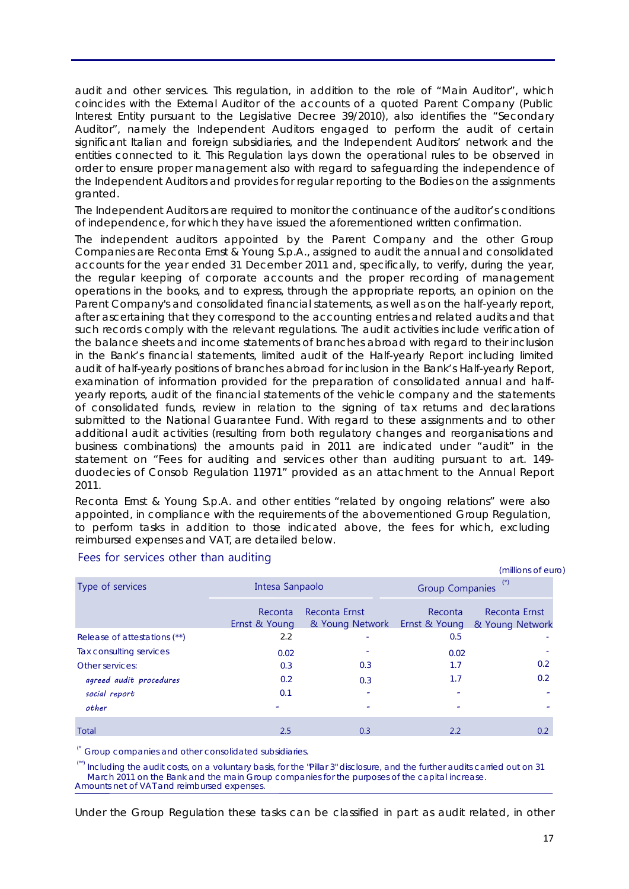audit and other services. This regulation, in addition to the role of "Main Auditor", which coincides with the External Auditor of the accounts of a quoted Parent Company (Public Interest Entity pursuant to the Legislative Decree 39/2010), also identifies the "Secondary Auditor", namely the Independent Auditors engaged to perform the audit of certain significant Italian and foreign subsidiaries, and the Independent Auditors' network and the entities connected to it. This Regulation lays down the operational rules to be observed in order to ensure proper management also with regard to safeguarding the independence of the Independent Auditors and provides for regular reporting to the Bodies on the assignments granted.

The Independent Auditors are required to monitor the continuance of the auditor's conditions of independence, for which they have issued the aforementioned written confirmation.

The independent auditors appointed by the Parent Company and the other Group Companies are Reconta Ernst & Young S.p.A., assigned to audit the annual and consolidated accounts for the year ended 31 December 2011 and, specifically, to verify, during the year, the regular keeping of corporate accounts and the proper recording of management operations in the books, and to express, through the appropriate reports, an opinion on the Parent Company's and consolidated financial statements, as well as on the half-yearly report, after ascertaining that they correspond to the accounting entries and related audits and that such records comply with the relevant regulations. The audit activities include verification of the balance sheets and income statements of branches abroad with regard to their inclusion in the Bank's financial statements, limited audit of the Half-yearly Report including limited audit of half-yearly positions of branches abroad for inclusion in the Bank's Half-yearly Report, examination of information provided for the preparation of consolidated annual and halfyearly reports, audit of the financial statements of the vehicle company and the statements of consolidated funds, review in relation to the signing of tax returns and declarations submitted to the National Guarantee Fund. With regard to these assignments and to other additional audit activities (resulting from both regulatory changes and reorganisations and business combinations) the amounts paid in 2011 are indicated under "audit" in the statement on "Fees for auditing and services other than auditing pursuant to art. 149 duodecies of Consob Regulation 11971" provided as an attachment to the Annual Report 2011.

Reconta Ernst & Young S.p.A. and other entities "related by ongoing relations" were also appointed, in compliance with the requirements of the abovementioned Group Regulation, to perform tasks in addition to those indicated above, the fees for which, excluding reimbursed expenses and VAT, are detailed below.

| Type of services             | Intesa Sanpaolo          |                                  | $(\star)$<br><b>Group Companies</b> |                                                |
|------------------------------|--------------------------|----------------------------------|-------------------------------------|------------------------------------------------|
|                              | Reconta<br>Ernst & Young | Reconta Ernst<br>& Young Network | Reconta                             | Reconta Ernst<br>Ernst & Young & Young Network |
| Release of attestations (**) | 2.2                      | ٠                                | 0.5                                 |                                                |
| Tax consulting services      | 0.02                     | ٠                                | 0.02                                |                                                |
| Other services:              | 0.3                      | 0.3                              | 1.7                                 | 0.2                                            |
| agreed audit procedures      | 0.2                      | 0.3                              | 1.7                                 | 0.2                                            |
| social report                | 0.1                      |                                  |                                     |                                                |
| other                        | ٠                        | ۰                                | -                                   |                                                |
| Total                        | 2.5                      | 0.3                              | 2.2                                 | 0.2                                            |

### Fees for services other than auditing

(\* Group companies and other consolidated subsidiaries.

(\*\*) Including the audit costs, on a voluntary basis, for the "Pillar 3" disclosure, and the further audits carried out on 31 March 2011 on the Bank and the main Group companies for the purposes of the capital increase. Amounts net of VAT and reimbursed expenses.

Under the Group Regulation these tasks can be classified in part as audit related, in other

(millions of euro)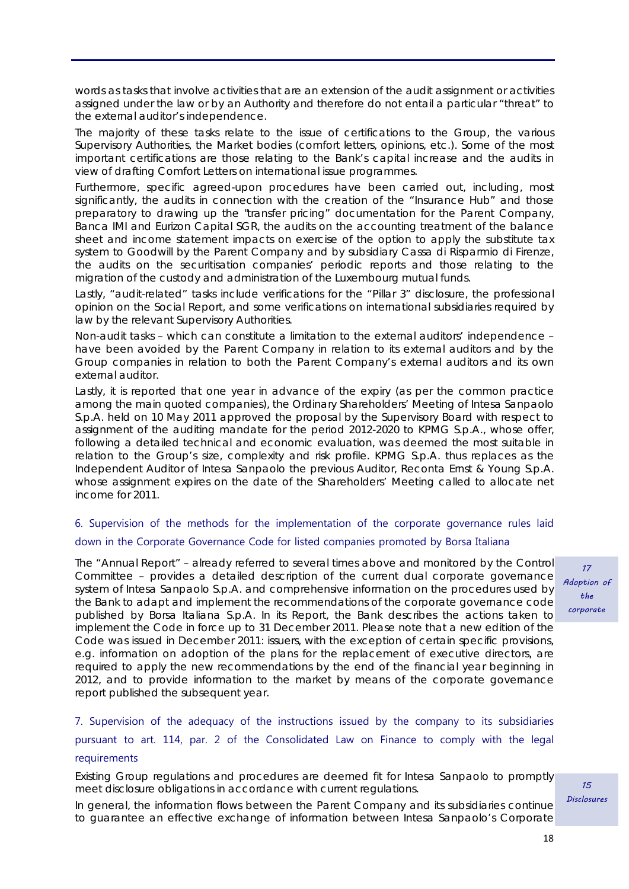words as tasks that involve activities that are an extension of the audit assignment or activities assigned under the law or by an Authority and therefore do not entail a particular "threat" to the external auditor's independence.

The majority of these tasks relate to the issue of certifications to the Group, the various Supervisory Authorities, the Market bodies (comfort letters, opinions, etc.). Some of the most important certifications are those relating to the Bank's capital increase and the audits in view of drafting Comfort Letters on international issue programmes.

Furthermore, specific agreed-upon procedures have been carried out, including, most significantly, the audits in connection with the creation of the "Insurance Hub" and those preparatory to drawing up the "transfer pricing" documentation for the Parent Company, Banca IMI and Eurizon Capital SGR, the audits on the accounting treatment of the balance sheet and income statement impacts on exercise of the option to apply the substitute tax system to Goodwill by the Parent Company and by subsidiary Cassa di Risparmio di Firenze, the audits on the securitisation companies' periodic reports and those relating to the migration of the custody and administration of the Luxembourg mutual funds.

Lastly, "audit-related" tasks include verifications for the "Pillar 3" disclosure, the professional opinion on the Social Report, and some verifications on international subsidiaries required by law by the relevant Supervisory Authorities.

Non-audit tasks – which can constitute a limitation to the external auditors' independence – have been avoided by the Parent Company in relation to its external auditors and by the Group companies in relation to both the Parent Company's external auditors and its own external auditor.

Lastly, it is reported that one year in advance of the expiry (as per the common practice among the main quoted companies), the Ordinary Shareholders' Meeting of Intesa Sanpaolo S.p.A. held on 10 May 2011 approved the proposal by the Supervisory Board with respect to assignment of the auditing mandate for the period 2012-2020 to KPMG S.p.A., whose offer, following a detailed technical and economic evaluation, was deemed the most suitable in relation to the Group's size, complexity and risk profile. KPMG S.p.A. thus replaces as the Independent Auditor of Intesa Sanpaolo the previous Auditor, Reconta Ernst & Young S.p.A. whose assignment expires on the date of the Shareholders' Meeting called to allocate net income for 2011.

# 6. Supervision of the methods for the implementation of the corporate governance rules laid down in the Corporate Governance Code for listed companies promoted by Borsa Italiana

The "Annual Report" – already referred to several times above and monitored by the Control Committee – provides a detailed description of the current dual corporate governance system of Intesa Sanpaolo S.p.A. and comprehensive information on the procedures used by the Bank to adapt and implement the recommendations of the corporate governance code published by Borsa Italiana S.p.A. In its Report, the Bank describes the actions taken to implement the Code in force up to 31 December 2011. Please note that a new edition of the Code was issued in December 2011: issuers, with the exception of certain specific provisions, e.g. information on adoption of the plans for the replacement of executive directors, are required to apply the new recommendations by the end of the financial year beginning in 2012, and to provide information to the market by means of the corporate governance report published the subsequent year.

7. Supervision of the adequacy of the instructions issued by the company to its subsidiaries pursuant to art. 114, par. 2 of the Consolidated Law on Finance to comply with the legal requirements

Existing Group regulations and procedures are deemed fit for Intesa Sanpaolo to promptly meet disclosure obligations in accordance with current regulations.

In general, the information flows between the Parent Company and its subsidiaries continue to guarantee an effective exchange of information between Intesa Sanpaolo's Corporate

17 Adoption of the corporate

15 Disclosures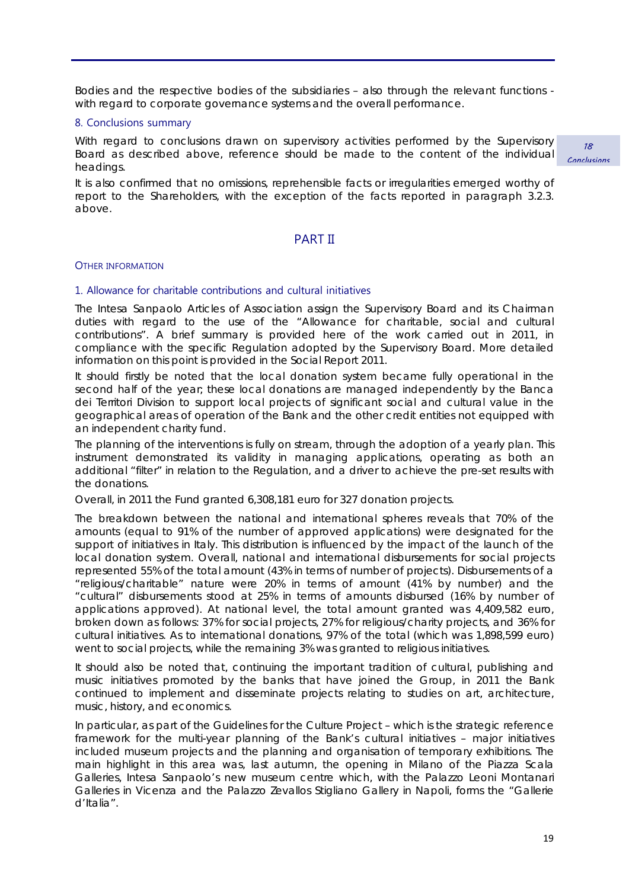Bodies and the respective bodies of the subsidiaries – also through the relevant functions with regard to corporate governance systems and the overall performance.

#### 8. Conclusions summary

With regard to conclusions drawn on supervisory activities performed by the Supervisory Board as described above, reference should be made to the content of the individual headings.

It is also confirmed that no omissions, reprehensible facts or irregularities emerged worthy of report to the Shareholders, with the exception of the facts reported in paragraph 3.2.3. above.

# PART II

#### OTHER INFORMATION

#### 1. Allowance for charitable contributions and cultural initiatives

The Intesa Sanpaolo Articles of Association assign the Supervisory Board and its Chairman duties with regard to the use of the "Allowance for charitable, social and cultural contributions". A brief summary is provided here of the work carried out in 2011, in compliance with the specific Regulation adopted by the Supervisory Board. More detailed information on this point is provided in the Social Report 2011.

It should firstly be noted that the local donation system became fully operational in the second half of the year; these local donations are managed independently by the Banca dei Territori Division to support local projects of significant social and cultural value in the geographical areas of operation of the Bank and the other credit entities not equipped with an independent charity fund.

The planning of the interventions is fully on stream, through the adoption of a yearly plan. This instrument demonstrated its validity in managing applications, operating as both an additional "filter" in relation to the Regulation, and a driver to achieve the pre-set results with the donations.

Overall, in 2011 the Fund granted 6,308,181 euro for 327 donation projects.

The breakdown between the national and international spheres reveals that 70% of the amounts (equal to 91% of the number of approved applications) were designated for the support of initiatives in Italy. This distribution is influenced by the impact of the launch of the local donation system. Overall, national and international disbursements for social projects represented 55% of the total amount (43% in terms of number of projects). Disbursements of a "religious/charitable" nature were 20% in terms of amount (41% by number) and the "cultural" disbursements stood at 25% in terms of amounts disbursed (16% by number of applications approved). At national level, the total amount granted was 4,409,582 euro, broken down as follows: 37% for social projects, 27% for religious/charity projects, and 36% for cultural initiatives. As to international donations, 97% of the total (which was 1,898,599 euro) went to social projects, while the remaining 3% was granted to religious initiatives.

It should also be noted that, continuing the important tradition of cultural, publishing and music initiatives promoted by the banks that have joined the Group, in 2011 the Bank continued to implement and disseminate projects relating to studies on art, architecture, music, history, and economics.

In particular, as part of the Guidelines for the Culture Project – which is the strategic reference framework for the multi-year planning of the Bank's cultural initiatives – major initiatives included museum projects and the planning and organisation of temporary exhibitions. The main highlight in this area was, last autumn, the opening in Milano of the Piazza Scala Galleries, Intesa Sanpaolo's new museum centre which, with the Palazzo Leoni Montanari Galleries in Vicenza and the Palazzo Zevallos Stigliano Gallery in Napoli, forms the "Gallerie d'Italia".

18 Conclusions